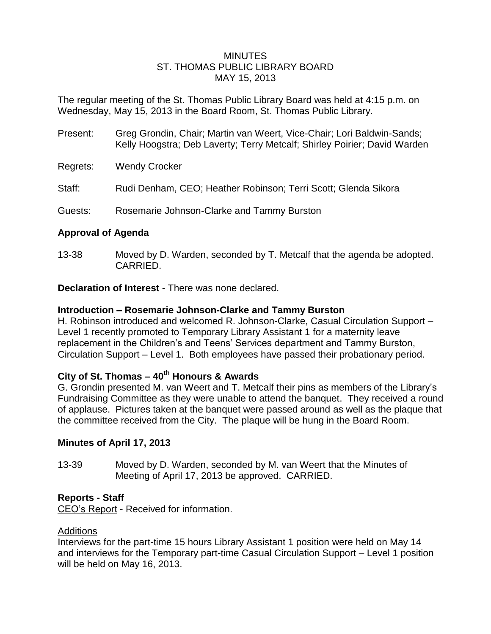## MINUTES ST. THOMAS PUBLIC LIBRARY BOARD MAY 15, 2013

The regular meeting of the St. Thomas Public Library Board was held at 4:15 p.m. on Wednesday, May 15, 2013 in the Board Room, St. Thomas Public Library.

- Present: Greg Grondin, Chair; Martin van Weert, Vice-Chair; Lori Baldwin-Sands; Kelly Hoogstra; Deb Laverty; Terry Metcalf; Shirley Poirier; David Warden
- Regrets: Wendy Crocker
- Staff: Rudi Denham, CEO; Heather Robinson; Terri Scott; Glenda Sikora
- Guests: Rosemarie Johnson-Clarke and Tammy Burston

# **Approval of Agenda**

13-38 Moved by D. Warden, seconded by T. Metcalf that the agenda be adopted. CARRIED.

**Declaration of Interest** - There was none declared.

# **Introduction – Rosemarie Johnson-Clarke and Tammy Burston**

H. Robinson introduced and welcomed R. Johnson-Clarke, Casual Circulation Support – Level 1 recently promoted to Temporary Library Assistant 1 for a maternity leave replacement in the Children's and Teens' Services department and Tammy Burston, Circulation Support – Level 1. Both employees have passed their probationary period.

# **City of St. Thomas – 40th Honours & Awards**

G. Grondin presented M. van Weert and T. Metcalf their pins as members of the Library's Fundraising Committee as they were unable to attend the banquet. They received a round of applause. Pictures taken at the banquet were passed around as well as the plaque that the committee received from the City. The plaque will be hung in the Board Room.

# **Minutes of April 17, 2013**

13-39 Moved by D. Warden, seconded by M. van Weert that the Minutes of Meeting of April 17, 2013 be approved. CARRIED.

# **Reports - Staff**

CEO's Report - Received for information.

### Additions

Interviews for the part-time 15 hours Library Assistant 1 position were held on May 14 and interviews for the Temporary part-time Casual Circulation Support – Level 1 position will be held on May 16, 2013.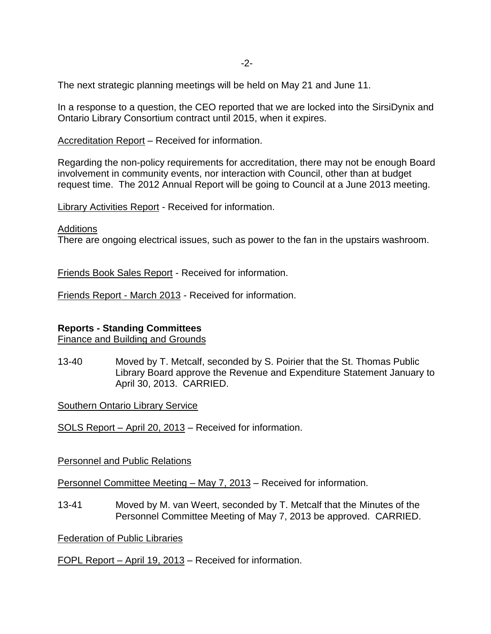The next strategic planning meetings will be held on May 21 and June 11.

In a response to a question, the CEO reported that we are locked into the SirsiDynix and Ontario Library Consortium contract until 2015, when it expires.

Accreditation Report – Received for information.

Regarding the non-policy requirements for accreditation, there may not be enough Board involvement in community events, nor interaction with Council, other than at budget request time. The 2012 Annual Report will be going to Council at a June 2013 meeting.

Library Activities Report - Received for information.

#### **Additions**

There are ongoing electrical issues, such as power to the fan in the upstairs washroom.

Friends Book Sales Report - Received for information.

Friends Report - March 2013 - Received for information.

### **Reports - Standing Committees**

Finance and Building and Grounds

13-40 Moved by T. Metcalf, seconded by S. Poirier that the St. Thomas Public Library Board approve the Revenue and Expenditure Statement January to April 30, 2013. CARRIED.

Southern Ontario Library Service

SOLS Report – April 20, 2013 – Received for information.

Personnel and Public Relations

Personnel Committee Meeting – May 7, 2013 – Received for information.

13-41 Moved by M. van Weert, seconded by T. Metcalf that the Minutes of the Personnel Committee Meeting of May 7, 2013 be approved. CARRIED.

Federation of Public Libraries

FOPL Report – April 19, 2013 – Received for information.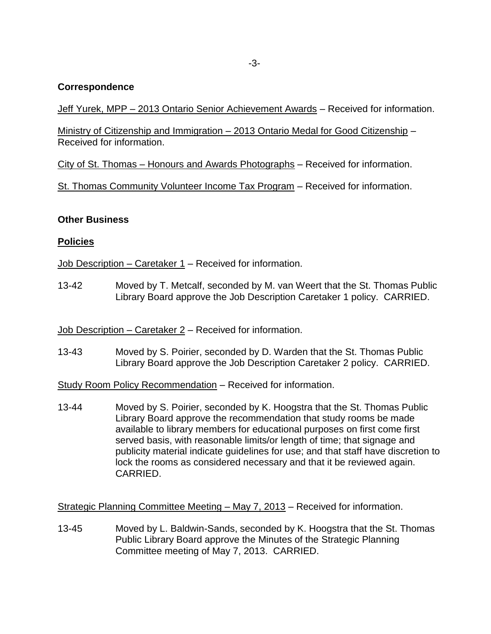## **Correspondence**

Jeff Yurek, MPP – 2013 Ontario Senior Achievement Awards – Received for information.

Ministry of Citizenship and Immigration – 2013 Ontario Medal for Good Citizenship – Received for information.

City of St. Thomas – Honours and Awards Photographs – Received for information.

St. Thomas Community Volunteer Income Tax Program – Received for information.

### **Other Business**

## **Policies**

Job Description – Caretaker 1 – Received for information.

13-42 Moved by T. Metcalf, seconded by M. van Weert that the St. Thomas Public Library Board approve the Job Description Caretaker 1 policy. CARRIED.

Job Description – Caretaker 2 – Received for information.

13-43 Moved by S. Poirier, seconded by D. Warden that the St. Thomas Public Library Board approve the Job Description Caretaker 2 policy. CARRIED.

Study Room Policy Recommendation – Received for information.

13-44 Moved by S. Poirier, seconded by K. Hoogstra that the St. Thomas Public Library Board approve the recommendation that study rooms be made available to library members for educational purposes on first come first served basis, with reasonable limits/or length of time; that signage and publicity material indicate guidelines for use; and that staff have discretion to lock the rooms as considered necessary and that it be reviewed again. CARRIED.

Strategic Planning Committee Meeting – May 7, 2013 – Received for information.

13-45 Moved by L. Baldwin-Sands, seconded by K. Hoogstra that the St. Thomas Public Library Board approve the Minutes of the Strategic Planning Committee meeting of May 7, 2013. CARRIED.